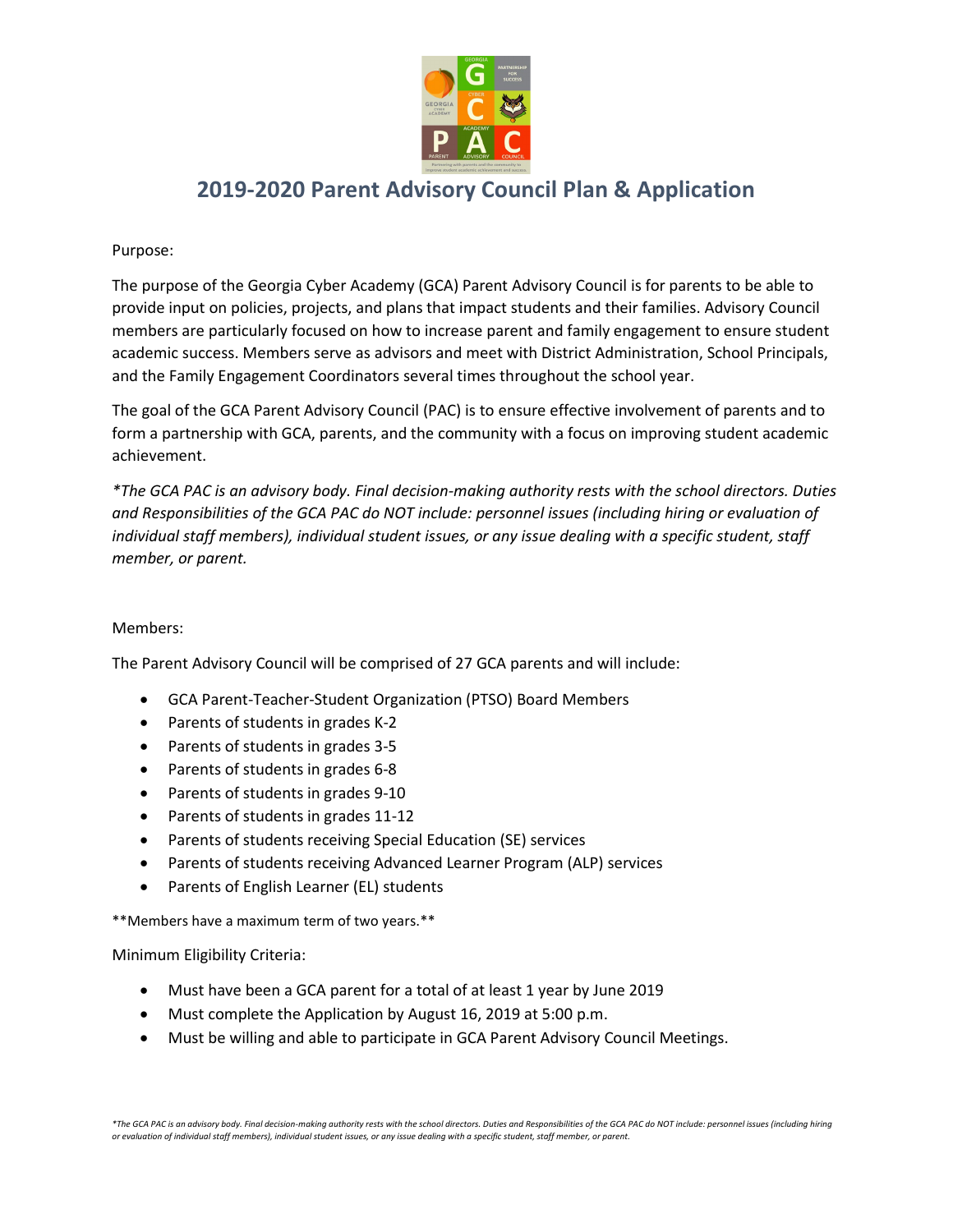

## **2019-2020 Parent Advisory Council Plan & Application**

#### Purpose:

The purpose of the Georgia Cyber Academy (GCA) Parent Advisory Council is for parents to be able to provide input on policies, projects, and plans that impact students and their families. Advisory Council members are particularly focused on how to increase parent and family engagement to ensure student academic success. Members serve as advisors and meet with District Administration, School Principals, and the Family Engagement Coordinators several times throughout the school year.

The goal of the GCA Parent Advisory Council (PAC) is to ensure effective involvement of parents and to form a partnership with GCA, parents, and the community with a focus on improving student academic achievement.

*\*The GCA PAC is an advisory body. Final decision-making authority rests with the school directors. Duties and Responsibilities of the GCA PAC do NOT include: personnel issues (including hiring or evaluation of individual staff members), individual student issues, or any issue dealing with a specific student, staff member, or parent.*

#### Members:

The Parent Advisory Council will be comprised of 27 GCA parents and will include:

- GCA Parent-Teacher-Student Organization (PTSO) Board Members
- Parents of students in grades K-2
- Parents of students in grades 3-5
- Parents of students in grades 6-8
- Parents of students in grades 9-10
- Parents of students in grades 11-12
- Parents of students receiving Special Education (SE) services
- Parents of students receiving Advanced Learner Program (ALP) services
- Parents of English Learner (EL) students

\*\*Members have a maximum term of two years.\*\*

Minimum Eligibility Criteria:

- Must have been a GCA parent for a total of at least 1 year by June 2019
- Must complete the Application by August 16, 2019 at 5:00 p.m.
- Must be willing and able to participate in GCA Parent Advisory Council Meetings.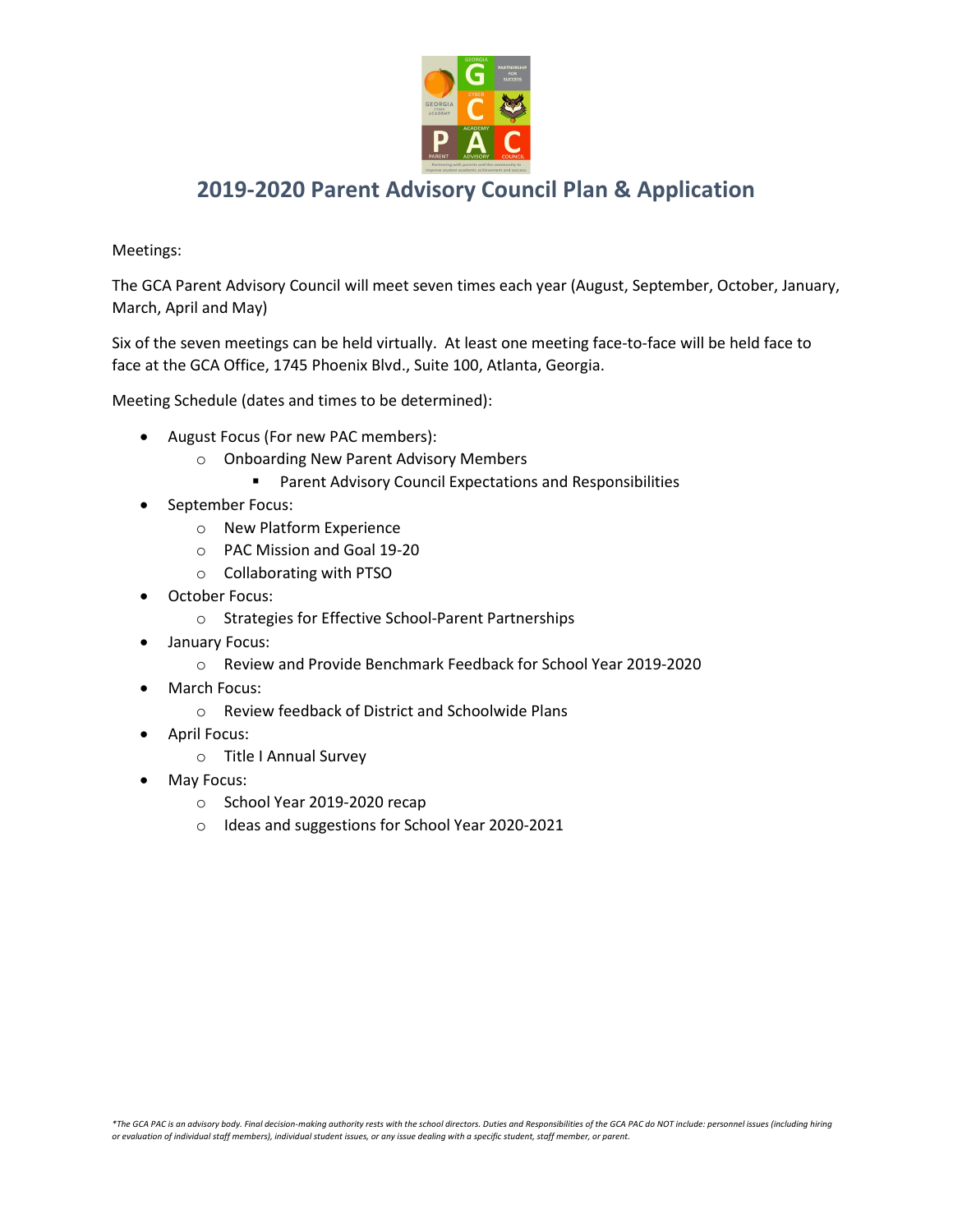

## **2019-2020 Parent Advisory Council Plan & Application**

#### Meetings:

The GCA Parent Advisory Council will meet seven times each year (August, September, October, January, March, April and May)

Six of the seven meetings can be held virtually. At least one meeting face-to-face will be held face to face at the GCA Office, 1745 Phoenix Blvd., Suite 100, Atlanta, Georgia.

Meeting Schedule (dates and times to be determined):

- August Focus (For new PAC members):
	- o Onboarding New Parent Advisory Members
		- **Parent Advisory Council Expectations and Responsibilities**
- September Focus:
	- o New Platform Experience
	- o PAC Mission and Goal 19-20
	- o Collaborating with PTSO
- October Focus:
	- o Strategies for Effective School-Parent Partnerships
- January Focus:
	- o Review and Provide Benchmark Feedback for School Year 2019-2020
- March Focus:
	- o Review feedback of District and Schoolwide Plans
- April Focus:
	- o Title I Annual Survey
- May Focus:
	- o School Year 2019-2020 recap
	- o Ideas and suggestions for School Year 2020-2021